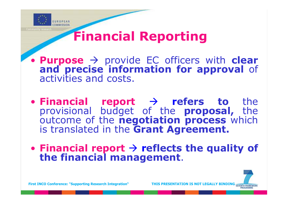

### Financial Reporting

**Purpose**  $\rightarrow$  provide EC officers with clear and precise information for approval of activities and costs.

• Financial report  $\rightarrow$  refers to the provisional budget of the proposal, the outcome of the negotiation process which is translated in the Grant Agreement.

• Financial report  $\rightarrow$  reflects the quality of the financial management.

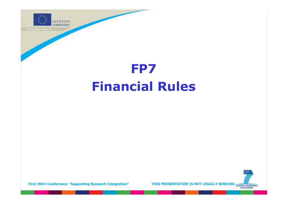

## FP7 Financial Rules

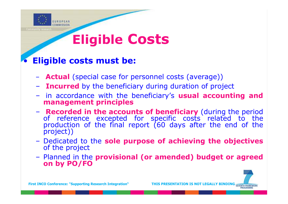

# Eligible Costs

### • Eligible costs must be:

- Actual (special case for personnel costs (average))
- **Incurred** by the beneficiary during duration of project
- in accordance with the beneficiary's usual accounting and management principles
- **Recorded in the accounts of beneficiary** (during the period of reference excepted for specific costs related to the production of the final report (60 days after the end of the project))
- Dedicated to the sole purpose of achieving the objectives of the project
- Planned in the provisional (or amended) budget or agreed on by PO/FO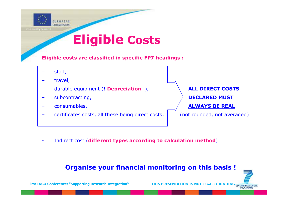

### Eligible Costs

Eligible costs are classified in specific FP7 headings :

- staff,
- travel,
- durable equipment (! Depreciation !), **ALL DIRECT COSTS**
- 
- 
- certificates costs, all these being direct costs,  $\|$  (not rounded, not averaged)

exploration of the subcontracting,  $\overrightarrow{DECLARED}$  MUST exponsumables, the consumables,  $\overline{A}$  always be real  $\overline{A}$ 

Indirect cost (different types according to calculation method)

#### Organise your financial monitoring on this basis !

First INCO Conference: "Supporting Research Integration" THIS PRESENTATION IS NOT LEGALLY BINDING SEVENTH FRAMEWORK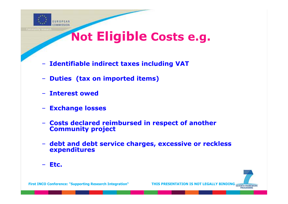

### Not Eligible Costs e.g.

- Identifiable indirect taxes including VAT
- Duties (tax on imported items)
- Interest owed
- **Exchange losses**
- Costs declared reimbursed in respect of another Community project
- debt and debt service charges, excessive or reckless expenditures
- Etc.